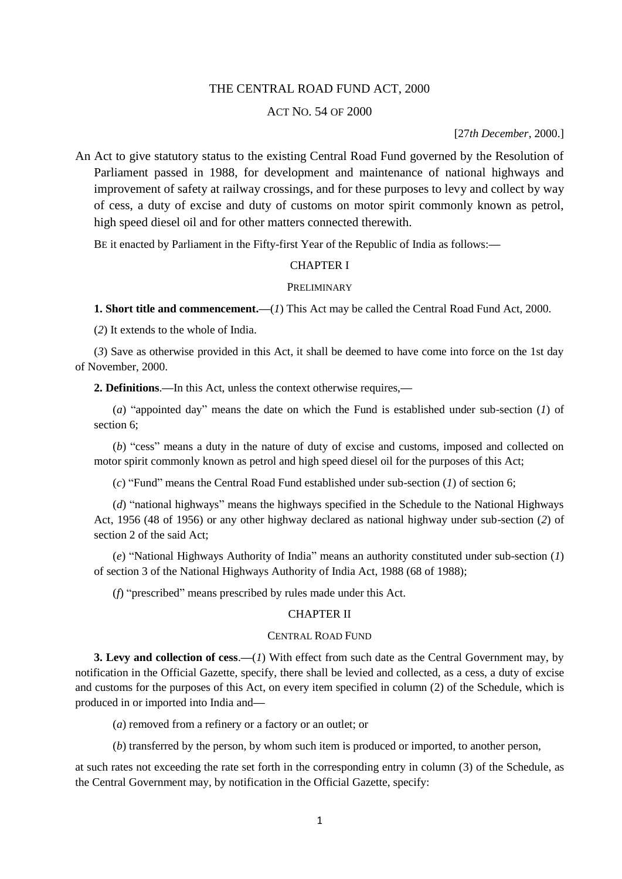# THE CENTRAL ROAD FUND ACT, 2000

### ACT NO. 54 OF 2000

[27*th December*, 2000.]

An Act to give statutory status to the existing Central Road Fund governed by the Resolution of Parliament passed in 1988, for development and maintenance of national highways and improvement of safety at railway crossings, and for these purposes to levy and collect by way of cess, a duty of excise and duty of customs on motor spirit commonly known as petrol, high speed diesel oil and for other matters connected therewith.

BE it enacted by Parliament in the Fifty-first Year of the Republic of India as follows:**—**

#### CHAPTER I

#### PRELIMINARY

**1. Short title and commencement.—**(*1*) This Act may be called the Central Road Fund Act, 2000.

(*2*) It extends to the whole of India.

(*3*) Save as otherwise provided in this Act, it shall be deemed to have come into force on the 1st day of November, 2000.

**2. Definitions**.**—**In this Act, unless the context otherwise requires,**—**

(*a*) "appointed day" means the date on which the Fund is established under sub-section (*1*) of section 6;

(*b*) "cess" means a duty in the nature of duty of excise and customs, imposed and collected on motor spirit commonly known as petrol and high speed diesel oil for the purposes of this Act;

(*c*) "Fund" means the Central Road Fund established under sub-section (*1*) of section 6;

(*d*) "national highways" means the highways specified in the Schedule to the National Highways Act, 1956 (48 of 1956) or any other highway declared as national highway under sub-section (*2*) of section 2 of the said Act;

(*e*) "National Highways Authority of India" means an authority constituted under sub-section (*1*) of section 3 of the National Highways Authority of India Act, 1988 (68 of 1988);

(*f*) "prescribed" means prescribed by rules made under this Act.

## CHAPTER II

# CENTRAL ROAD FUND

**3. Levy and collection of cess**.**—**(*1*) With effect from such date as the Central Government may, by notification in the Official Gazette, specify, there shall be levied and collected, as a cess, a duty of excise and customs for the purposes of this Act, on every item specified in column (2) of the Schedule, which is produced in or imported into India and**—**

(*a*) removed from a refinery or a factory or an outlet; or

(*b*) transferred by the person, by whom such item is produced or imported, to another person,

at such rates not exceeding the rate set forth in the corresponding entry in column (3) of the Schedule, as the Central Government may, by notification in the Official Gazette, specify: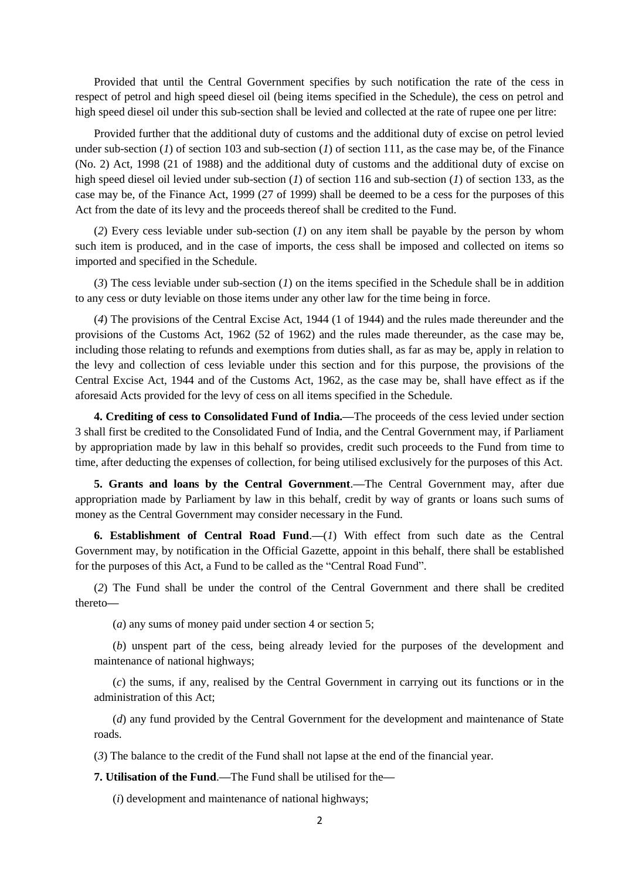Provided that until the Central Government specifies by such notification the rate of the cess in respect of petrol and high speed diesel oil (being items specified in the Schedule), the cess on petrol and high speed diesel oil under this sub-section shall be levied and collected at the rate of rupee one per litre:

Provided further that the additional duty of customs and the additional duty of excise on petrol levied under sub-section (*1*) of section 103 and sub-section (*1*) of section 111, as the case may be, of the Finance (No. 2) Act, 1998 (21 of 1988) and the additional duty of customs and the additional duty of excise on high speed diesel oil levied under sub-section (*1*) of section 116 and sub-section (*1*) of section 133, as the case may be, of the Finance Act, 1999 (27 of 1999) shall be deemed to be a cess for the purposes of this Act from the date of its levy and the proceeds thereof shall be credited to the Fund.

(*2*) Every cess leviable under sub-section (*1*) on any item shall be payable by the person by whom such item is produced, and in the case of imports, the cess shall be imposed and collected on items so imported and specified in the Schedule.

(*3*) The cess leviable under sub-section (*1*) on the items specified in the Schedule shall be in addition to any cess or duty leviable on those items under any other law for the time being in force.

(*4*) The provisions of the Central Excise Act, 1944 (1 of 1944) and the rules made thereunder and the provisions of the Customs Act, 1962 (52 of 1962) and the rules made thereunder, as the case may be, including those relating to refunds and exemptions from duties shall, as far as may be, apply in relation to the levy and collection of cess leviable under this section and for this purpose, the provisions of the Central Excise Act, 1944 and of the Customs Act, 1962, as the case may be, shall have effect as if the aforesaid Acts provided for the levy of cess on all items specified in the Schedule.

**4. Crediting of cess to Consolidated Fund of India.—**The proceeds of the cess levied under section 3 shall first be credited to the Consolidated Fund of India, and the Central Government may, if Parliament by appropriation made by law in this behalf so provides, credit such proceeds to the Fund from time to time, after deducting the expenses of collection, for being utilised exclusively for the purposes of this Act.

**5. Grants and loans by the Central Government**.**—**The Central Government may, after due appropriation made by Parliament by law in this behalf, credit by way of grants or loans such sums of money as the Central Government may consider necessary in the Fund.

**6. Establishment of Central Road Fund**.**—**(*1*) With effect from such date as the Central Government may, by notification in the Official Gazette, appoint in this behalf, there shall be established for the purposes of this Act, a Fund to be called as the "Central Road Fund".

(*2*) The Fund shall be under the control of the Central Government and there shall be credited thereto**—**

(*a*) any sums of money paid under section 4 or section 5;

(*b*) unspent part of the cess, being already levied for the purposes of the development and maintenance of national highways;

(*c*) the sums, if any, realised by the Central Government in carrying out its functions or in the administration of this Act;

(*d*) any fund provided by the Central Government for the development and maintenance of State roads.

(*3*) The balance to the credit of the Fund shall not lapse at the end of the financial year.

**7. Utilisation of the Fund**.**—**The Fund shall be utilised for the**—**

(*i*) development and maintenance of national highways;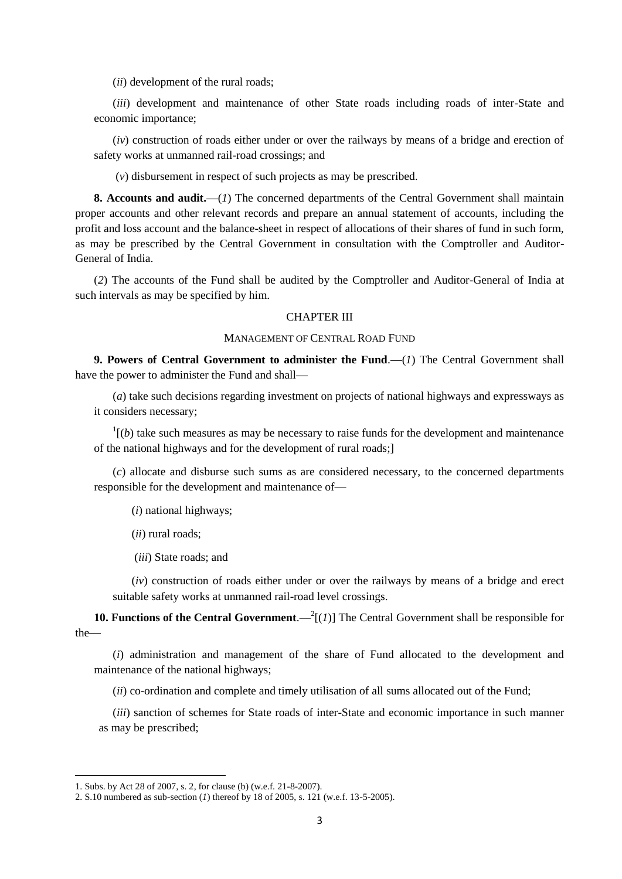(*ii*) development of the rural roads;

(*iii*) development and maintenance of other State roads including roads of inter-State and economic importance;

(*iv*) construction of roads either under or over the railways by means of a bridge and erection of safety works at unmanned rail-road crossings; and

(*v*) disbursement in respect of such projects as may be prescribed.

**8. Accounts and audit.—**(*1*) The concerned departments of the Central Government shall maintain proper accounts and other relevant records and prepare an annual statement of accounts, including the profit and loss account and the balance-sheet in respect of allocations of their shares of fund in such form, as may be prescribed by the Central Government in consultation with the Comptroller and Auditor-General of India.

(*2*) The accounts of the Fund shall be audited by the Comptroller and Auditor-General of India at such intervals as may be specified by him.

### CHAPTER III

## MANAGEMENT OF CENTRAL ROAD FUND

**9. Powers of Central Government to administer the Fund**.**—**(*1*) The Central Government shall have the power to administer the Fund and shall**—**

(*a*) take such decisions regarding investment on projects of national highways and expressways as it considers necessary;

 $\mathbf{1}$ <sup>1</sup> $(b)$  take such measures as may be necessary to raise funds for the development and maintenance of the national highways and for the development of rural roads;]

(*c*) allocate and disburse such sums as are considered necessary, to the concerned departments responsible for the development and maintenance of**—**

(*i*) national highways;

(*ii*) rural roads;

(*iii*) State roads; and

(*iv*) construction of roads either under or over the railways by means of a bridge and erect suitable safety works at unmanned rail-road level crossings.

**10. Functions of the Central Government**.— $^{2}$ [(*1*)] The Central Government shall be responsible for the**—**

(*i*) administration and management of the share of Fund allocated to the development and maintenance of the national highways;

(*ii*) co-ordination and complete and timely utilisation of all sums allocated out of the Fund;

(*iii*) sanction of schemes for State roads of inter-State and economic importance in such manner as may be prescribed;

1

<sup>1.</sup> Subs. by Act 28 of 2007, s. 2, for clause (b) (w.e.f. 21-8-2007).

<sup>2.</sup> S.10 numbered as sub-section (*1*) thereof by 18 of 2005, s. 121 (w.e.f. 13-5-2005).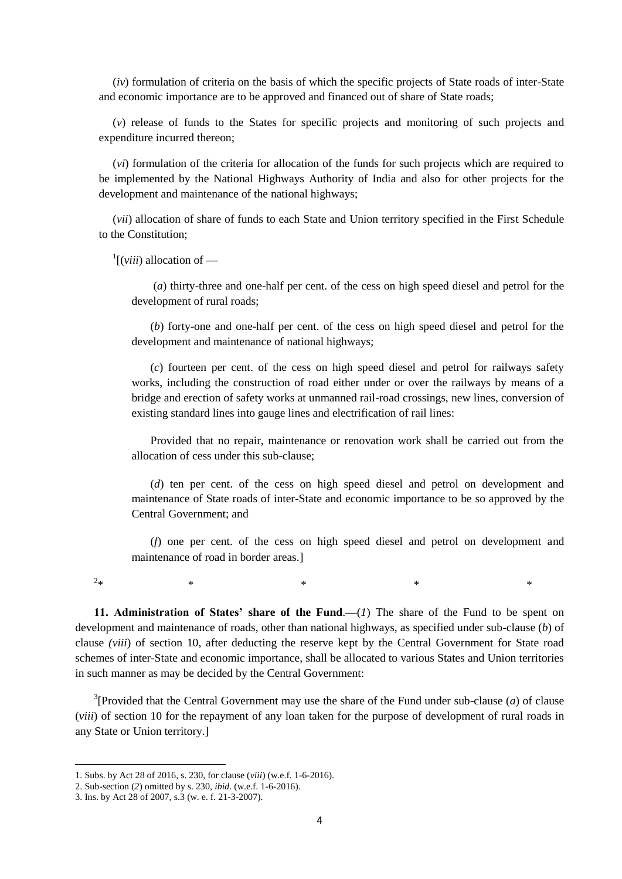(*iv*) formulation of criteria on the basis of which the specific projects of State roads of inter-State and economic importance are to be approved and financed out of share of State roads;

(*v*) release of funds to the States for specific projects and monitoring of such projects and expenditure incurred thereon;

(*vi*) formulation of the criteria for allocation of the funds for such projects which are required to be implemented by the National Highways Authority of India and also for other projects for the development and maintenance of the national highways;

(*vii*) allocation of share of funds to each State and Union territory specified in the First Schedule to the Constitution;

1 [(*viii*) allocation of **—**

(*a*) thirty-three and one-half per cent. of the cess on high speed diesel and petrol for the development of rural roads;

(*b*) forty-one and one-half per cent. of the cess on high speed diesel and petrol for the development and maintenance of national highways;

(*c*) fourteen per cent. of the cess on high speed diesel and petrol for railways safety works, including the construction of road either under or over the railways by means of a bridge and erection of safety works at unmanned rail-road crossings, new lines, conversion of existing standard lines into gauge lines and electrification of rail lines:

Provided that no repair, maintenance or renovation work shall be carried out from the allocation of cess under this sub-clause;

(*d*) ten per cent. of the cess on high speed diesel and petrol on development and maintenance of State roads of inter-State and economic importance to be so approved by the Central Government; and

(*f*) one per cent. of the cess on high speed diesel and petrol on development and maintenance of road in border areas.]

 $2*$  $*$   $*$   $*$   $*$   $*$   $*$   $*$ 

**.** 

**11. Administration of States' share of the Fund**.**—**(*1*) The share of the Fund to be spent on development and maintenance of roads, other than national highways, as specified under sub-clause (*b*) of clause *(viii*) of section 10, after deducting the reserve kept by the Central Government for State road schemes of inter-State and economic importance, shall be allocated to various States and Union territories in such manner as may be decided by the Central Government:

<sup>3</sup>[Provided that the Central Government may use the share of the Fund under sub-clause  $(a)$  of clause (*viii*) of section 10 for the repayment of any loan taken for the purpose of development of rural roads in any State or Union territory.]

<sup>1.</sup> Subs. by Act 28 of 2016, s. 230, for clause (*viii*) (w.e.f. 1-6-2016).

<sup>2.</sup> Sub-section (*2*) omitted by s. 230, *ibid*. (w.e.f. 1-6-2016).

<sup>3.</sup> Ins. by Act 28 of 2007, s.3 (w. e. f. 21-3-2007).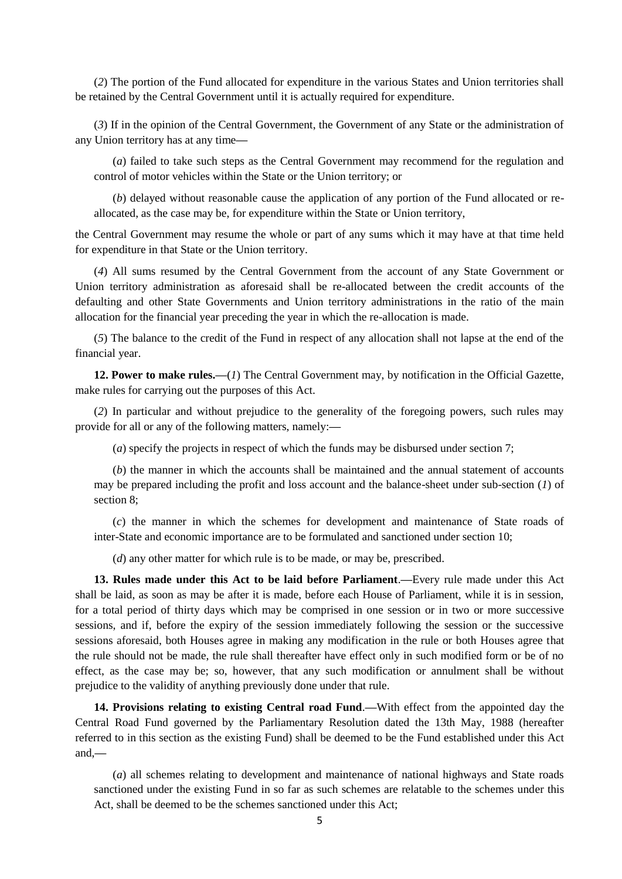(*2*) The portion of the Fund allocated for expenditure in the various States and Union territories shall be retained by the Central Government until it is actually required for expenditure.

(*3*) If in the opinion of the Central Government, the Government of any State or the administration of any Union territory has at any time**—**

(*a*) failed to take such steps as the Central Government may recommend for the regulation and control of motor vehicles within the State or the Union territory; or

(*b*) delayed without reasonable cause the application of any portion of the Fund allocated or reallocated, as the case may be, for expenditure within the State or Union territory,

the Central Government may resume the whole or part of any sums which it may have at that time held for expenditure in that State or the Union territory.

(*4*) All sums resumed by the Central Government from the account of any State Government or Union territory administration as aforesaid shall be re-allocated between the credit accounts of the defaulting and other State Governments and Union territory administrations in the ratio of the main allocation for the financial year preceding the year in which the re-allocation is made.

(*5*) The balance to the credit of the Fund in respect of any allocation shall not lapse at the end of the financial year.

**12. Power to make rules.—**(*1*) The Central Government may, by notification in the Official Gazette, make rules for carrying out the purposes of this Act.

(*2*) In particular and without prejudice to the generality of the foregoing powers, such rules may provide for all or any of the following matters, namely:**—**

(*a*) specify the projects in respect of which the funds may be disbursed under section 7;

(*b*) the manner in which the accounts shall be maintained and the annual statement of accounts may be prepared including the profit and loss account and the balance-sheet under sub-section (*1*) of section 8;

(*c*) the manner in which the schemes for development and maintenance of State roads of inter-State and economic importance are to be formulated and sanctioned under section 10;

(*d*) any other matter for which rule is to be made, or may be, prescribed.

**13. Rules made under this Act to be laid before Parliament**.**—**Every rule made under this Act shall be laid, as soon as may be after it is made, before each House of Parliament, while it is in session, for a total period of thirty days which may be comprised in one session or in two or more successive sessions, and if, before the expiry of the session immediately following the session or the successive sessions aforesaid, both Houses agree in making any modification in the rule or both Houses agree that the rule should not be made, the rule shall thereafter have effect only in such modified form or be of no effect, as the case may be; so, however, that any such modification or annulment shall be without prejudice to the validity of anything previously done under that rule.

**14. Provisions relating to existing Central road Fund**.**—**With effect from the appointed day the Central Road Fund governed by the Parliamentary Resolution dated the 13th May, 1988 (hereafter referred to in this section as the existing Fund) shall be deemed to be the Fund established under this Act and,**—**

(*a*) all schemes relating to development and maintenance of national highways and State roads sanctioned under the existing Fund in so far as such schemes are relatable to the schemes under this Act, shall be deemed to be the schemes sanctioned under this Act;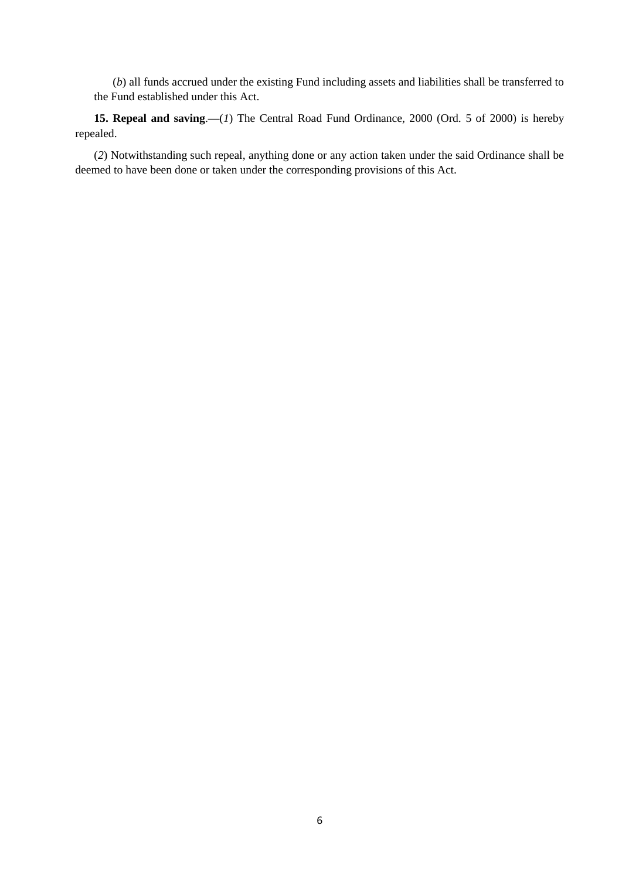(*b*) all funds accrued under the existing Fund including assets and liabilities shall be transferred to the Fund established under this Act.

**15. Repeal and saving**.**—**(*1*) The Central Road Fund Ordinance, 2000 (Ord. 5 of 2000) is hereby repealed.

(*2*) Notwithstanding such repeal, anything done or any action taken under the said Ordinance shall be deemed to have been done or taken under the corresponding provisions of this Act.